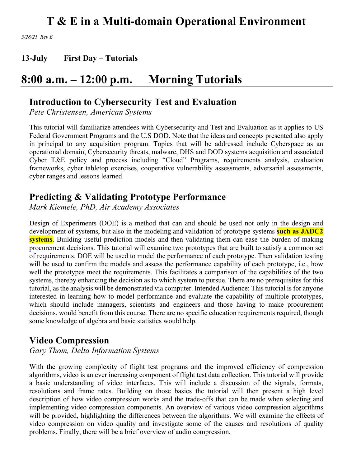*5/28/21 Rev E*

**13-July First Day – Tutorials**

### **8:00 a.m. – 12:00 p.m. Morning Tutorials**

### **Introduction to Cybersecurity Test and Evaluation**

*Pete Christensen, American Systems*

This tutorial will familiarize attendees with Cybersecurity and Test and Evaluation as it applies to US Federal Government Programs and the U.S DOD. Note that the ideas and concepts presented also apply in principal to any acquisition program. Topics that will be addressed include Cyberspace as an operational domain, Cybersecurity threats, malware, DHS and DOD systems acquisition and associated Cyber T&E policy and process including "Cloud" Programs, requirements analysis, evaluation frameworks, cyber tabletop exercises, cooperative vulnerability assessments, adversarial assessments, cyber ranges and lessons learned.

### **Predicting & Validating Prototype Performance**

*Mark Kiemele, PhD, Air Academy Associates*

Design of Experiments (DOE) is a method that can and should be used not only in the design and development of systems, but also in the modeling and validation of prototype systems **such as JADC2 systems**. Building useful prediction models and then validating them can ease the burden of making procurement decisions. This tutorial will examine two prototypes that are built to satisfy a common set of requirements. DOE will be used to model the performance of each prototype. Then validation testing will be used to confirm the models and assess the performance capability of each prototype, i.e., how well the prototypes meet the requirements. This facilitates a comparison of the capabilities of the two systems, thereby enhancing the decision as to which system to pursue. There are no prerequisites for this tutorial, as the analysis will be demonstrated via computer. Intended Audience: This tutorial is for anyone interested in learning how to model performance and evaluate the capability of multiple prototypes, which should include managers, scientists and engineers and those having to make procurement decisions, would benefit from this course. There are no specific education requirements required, though some knowledge of algebra and basic statistics would help.

### **Video Compression**

*Gary Thom, Delta Information Systems*

With the growing complexity of flight test programs and the improved efficiency of compression algorithms, video is an ever increasing component of flight test data collection. This tutorial will provide a basic understanding of video interfaces. This will include a discussion of the signals, formats, resolutions and frame rates. Building on those basics the tutorial will then present a high level description of how video compression works and the trade-offs that can be made when selecting and implementing video compression components. An overview of various video compression algorithms will be provided, highlighting the differences between the algorithms. We will examine the effects of video compression on video quality and investigate some of the causes and resolutions of quality problems. Finally, there will be a brief overview of audio compression.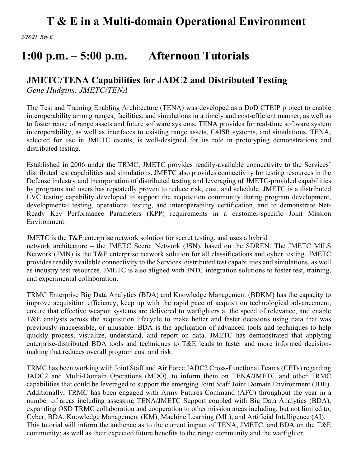*5/28/21 Rev E*

### **1:00 p.m. – 5:00 p.m. Afternoon Tutorials**

### **JMETC/TENA Capabilities for JADC2 and Distributed Testing**

*Gene Hudgins, JMETC/TENA*

The Test and Training Enabling Architecture (TENA) was developed as a DoD CTEIP project to enable interoperability among ranges, facilities, and simulations in a timely and cost-efficient manner, as well as to foster reuse of range assets and future software systems. TENA provides for real-time software system interoperability, as well as interfaces to existing range assets, C4ISR systems, and simulations. TENA, selected for use in JMETC events, is well-designed for its role in prototyping demonstrations and distributed testing.

Established in 2006 under the TRMC, JMETC provides readily-available connectivity to the Services' distributed test capabilities and simulations. JMETC also provides connectivity for testing resources in the Defense industry and incorporation of distributed testing and leveraging of JMETC-provided capabilities by programs and users has repeatedly proven to reduce risk, cost, and schedule. JMETC is a distributed LVC testing capability developed to support the acquisition community during program development, developmental testing, operational testing, and interoperability certification, and to demonstrate Net-Ready Key Performance Parameters (KPP) requirements in a customer-specific Joint Mission Environment.

JMETC is the T&E enterprise network solution for secret testing, and uses a hybrid network architecture – the JMETC Secret Network (JSN), based on the SDREN. The JMETC MILS Network (JMN) is the T&E enterprise network solution for all classifications and cyber testing. JMETC provides readily available connectivity to the Services' distributed test capabilities and simulations, as well as industry test resources. JMETC is also aligned with JNTC integration solutions to foster test, training, and experimental collaboration.

TRMC Enterprise Big Data Analytics (BDA) and Knowledge Management (BDKM) has the capacity to improve acquisition efficiency, keep up with the rapid pace of acquisition technological advancement, ensure that effective weapon systems are delivered to warfighters at the speed of relevance, and enable T&E analysts across the acquisition lifecycle to make better and faster decisions using data that was previously inaccessible, or unusable. BDA is the application of advanced tools and techniques to help quickly process, visualize, understand, and report on data. JMETC has demonstrated that applying enterprise-distributed BDA tools and techniques to T&E leads to faster and more informed decisionmaking that reduces overall program cost and risk.

TRMC has been working with Joint Staff and Air Force JADC2 Cross-Functional Teams (CFTs) regarding JADC2 and Multi-Domain Operations (MDO), to inform them on TENA/JMETC and other TRMC capabilities that could be leveraged to support the emerging Joint Staff Joint Domain Environment (JDE). Additionally, TRMC has been engaged with Army Futures Command (AFC) throughout the year in a number of areas including assessing TENA/JMETC Support coupled with Big Data Analytics (BDA), expanding OSD TRMC collaboration and cooperation to other mission areas including, but not limited to, Cyber, BDA, Knowledge Management (KM), Machine Learning (ML), and Artificial Intelligence (AI). This tutorial will inform the audience as to the current impact of TENA, JMETC, and BDA on the T&E community; as well as their expected future benefits to the range community and the warfighter.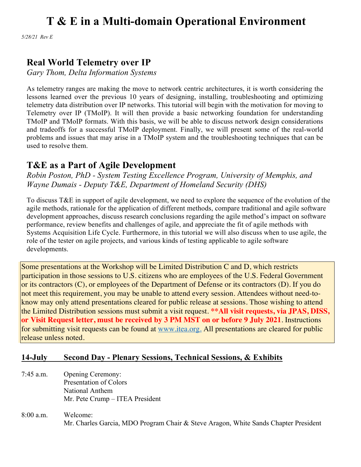*5/28/21 Rev E*

### **Real World Telemetry over IP**

*Gary Thom, Delta Information Systems*

As telemetry ranges are making the move to network centric architectures, it is worth considering the lessons learned over the previous 10 years of designing, installing, troubleshooting and optimizing telemetry data distribution over IP networks. This tutorial will begin with the motivation for moving to Telemetry over IP (TMoIP). It will then provide a basic networking foundation for understanding TMoIP and TMoIP formats. With this basis, we will be able to discuss network design considerations and tradeoffs for a successful TMoIP deployment. Finally, we will present some of the real-world problems and issues that may arise in a TMoIP system and the troubleshooting techniques that can be used to resolve them.

### **T&E as a Part of Agile Development**

*Robin Poston, PhD - System Testing Excellence Program, University of Memphis, and Wayne Dumais - Deputy T&E, Department of Homeland Security (DHS)*

To discuss T&E in support of agile development, we need to explore the sequence of the evolution of the agile methods, rationale for the application of different methods, compare traditional and agile software development approaches, discuss research conclusions regarding the agile method's impact on software performance, review benefits and challenges of agile, and appreciate the fit of agile methods with Systems Acquisition Life Cycle. Furthermore, in this tutorial we will also discuss when to use agile, the role of the tester on agile projects, and various kinds of testing applicable to agile software developments.

Some presentations at the Workshop will be Limited Distribution C and D, which restricts participation in those sessions to U.S. citizens who are employees of the U.S. Federal Government or its contractors (C), or employees of the Department of Defense or its contractors (D). If you do not meet this requirement, you may be unable to attend every session. Attendees without need-toknow may only attend presentations cleared for public release at sessions. Those wishing to attend the Limited Distribution sessions must submit a visit request. **\*\*All visit requests, via JPAS, DISS, or Visit Request letter, must be received by 3 PM MST on or before 9 July 2021**. Instructions for submitting visit requests can be found at www.itea.org. All presentations are cleared for public release unless noted.

### **14-July Second Day - Plenary Sessions, Technical Sessions, & Exhibits**

- 7:45 a.m. Opening Ceremony: Presentation of Colors National Anthem Mr. Pete Crump – ITEA President
- 8:00 a.m. Welcome: Mr. Charles Garcia, MDO Program Chair & Steve Aragon, White Sands Chapter President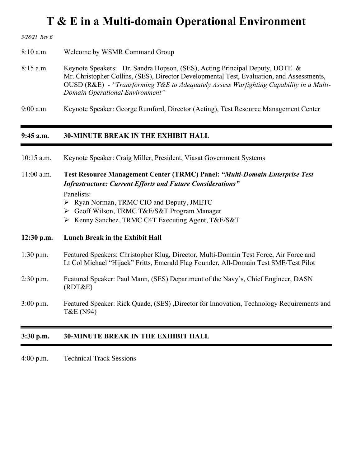*5/28/21 Rev E*

8:10 a.m. Welcome by WSMR Command Group

8:15 a.m. Keynote Speakers: Dr. Sandra Hopson, (SES), Acting Principal Deputy, DOTE & Mr. Christopher Collins, (SES), Director Developmental Test, Evaluation, and Assessments, OUSD (R&E) - *"Transforming T&E to Adequately Assess Warfighting Capability in a Multi-Domain Operational Environment"*

9:00 a.m. Keynote Speaker: George Rumford, Director (Acting), Test Resource Management Center

#### **9:45 a.m. 30-MINUTE BREAK IN THE EXHIBIT HALL**

| Keynote Speaker: Craig Miller, President, Viasat Government Systems | $10:15$ a.m. |  |  |  |  |  |  |
|---------------------------------------------------------------------|--------------|--|--|--|--|--|--|
|---------------------------------------------------------------------|--------------|--|--|--|--|--|--|

11:00 a.m. **Test Resource Management Center (TRMC) Panel:** *"Multi-Domain Enterprise Test Infrastructure: Current Efforts and Future Considerations"* Panelists:

- Ø Ryan Norman, TRMC CIO and Deputy, JMETC
- Ø Geoff Wilson, TRMC T&E/S&T Program Manager
- Ø Kenny Sanchez, TRMC C4T Executing Agent, T&E/S&T

#### **12:30 p.m. Lunch Break in the Exhibit Hall**

- 1:30 p.m. Featured Speakers: Christopher Klug, Director, Multi-Domain Test Force, Air Force and Lt Col Michael "Hijack" Fritts, Emerald Flag Founder, All-Domain Test SME/Test Pilot
- 2:30 p.m. Featured Speaker: Paul Mann, (SES) Department of the Navy's, Chief Engineer, DASN (RDT&E)
- 3:00 p.m. Featured Speaker: Rick Quade, (SES) ,Director for Innovation, Technology Requirements and T&E (N94)

#### **3:30 p.m. 30-MINUTE BREAK IN THE EXHIBIT HALL**

4:00 p.m. Technical Track Sessions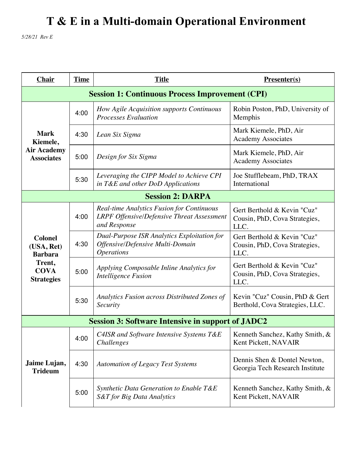*5/28/21 Rev E*

| Chair                                                                                        | <b>Time</b> | <b>Title</b>                                                                                                          | Presenter(s)                                                         |  |  |
|----------------------------------------------------------------------------------------------|-------------|-----------------------------------------------------------------------------------------------------------------------|----------------------------------------------------------------------|--|--|
| <b>Session 1: Continuous Process Improvement (CPI)</b>                                       |             |                                                                                                                       |                                                                      |  |  |
| <b>Mark</b><br>Kiemele,<br><b>Air Academy</b><br><b>Associates</b>                           | 4:00        | How Agile Acquisition supports Continuous<br><b>Processes Evaluation</b>                                              | Robin Poston, PhD, University of<br>Memphis                          |  |  |
|                                                                                              | 4:30        | Lean Six Sigma                                                                                                        | Mark Kiemele, PhD, Air<br><b>Academy Associates</b>                  |  |  |
|                                                                                              | 5:00        | Design for Six Sigma                                                                                                  | Mark Kiemele, PhD, Air<br><b>Academy Associates</b>                  |  |  |
|                                                                                              | 5:30        | Leveraging the CIPP Model to Achieve CPI<br>in T&E and other DoD Applications                                         | Joe Stufflebeam, PhD, TRAX<br>International                          |  |  |
| <b>Session 2: DARPA</b>                                                                      |             |                                                                                                                       |                                                                      |  |  |
| <b>Colonel</b><br>(USA, Ret)<br><b>Barbara</b><br>Trent,<br><b>COVA</b><br><b>Strategies</b> | 4:00        | <b>Real-time Analytics Fusion for Continuous</b><br><b>LRPF Offensive/Defensive Threat Assessment</b><br>and Response | Gert Berthold & Kevin "Cuz"<br>Cousin, PhD, Cova Strategies,<br>LLC. |  |  |
|                                                                                              | 4:30        | Dual-Purpose ISR Analytics Exploitation for<br>Offensive/Defensive Multi-Domain<br><i><b>Operations</b></i>           | Gert Berthold & Kevin "Cuz"<br>Cousin, PhD, Cova Strategies,<br>LLC. |  |  |
|                                                                                              | 5:00        | Applying Composable Inline Analytics for<br><b>Intelligence Fusion</b>                                                | Gert Berthold & Kevin "Cuz"<br>Cousin, PhD, Cova Strategies,<br>LLC. |  |  |
|                                                                                              | 5:30        | Analytics Fusion across Distributed Zones of<br>Security                                                              | Kevin "Cuz" Cousin, PhD & Gert<br>Berthold, Cova Strategies, LLC.    |  |  |
| <b>Session 3: Software Intensive in support of JADC2</b>                                     |             |                                                                                                                       |                                                                      |  |  |
| Jaime Lujan,<br><b>Trideum</b>                                                               | 4:00        | C4ISR and Software Intensive Systems T&E<br>Challenges                                                                | Kenneth Sanchez, Kathy Smith, &<br>Kent Pickett, NAVAIR              |  |  |
|                                                                                              | 4:30        | <b>Automation of Legacy Test Systems</b>                                                                              | Dennis Shen & Dontel Newton,<br>Georgia Tech Research Institute      |  |  |
|                                                                                              | 5:00        | Synthetic Data Generation to Enable T&E<br><b>S&amp;T</b> for Big Data Analytics                                      | Kenneth Sanchez, Kathy Smith, &<br>Kent Pickett, NAVAIR              |  |  |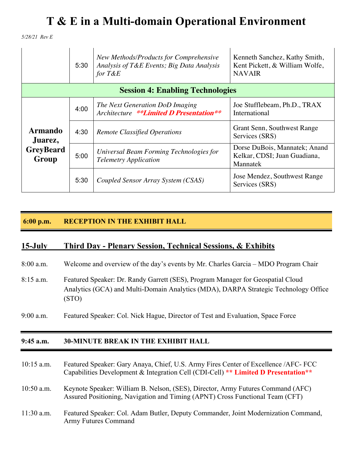*5/28/21 Rev E*

|                                                        | 5:30 | New Methods/Products for Comprehensive<br>Analysis of T&E Events; Big Data Analysis<br>for $T\&E$ | Kenneth Sanchez, Kathy Smith,<br>Kent Pickett, & William Wolfe,<br><b>NAVAIR</b> |  |  |
|--------------------------------------------------------|------|---------------------------------------------------------------------------------------------------|----------------------------------------------------------------------------------|--|--|
| <b>Session 4: Enabling Technologies</b>                |      |                                                                                                   |                                                                                  |  |  |
| <b>Armando</b><br>Juarez,<br><b>GreyBeard</b><br>Group | 4:00 | The Next Generation DoD Imaging<br>Architecture **Limited D Presentation**                        | Joe Stufflebeam, Ph.D., TRAX<br>International                                    |  |  |
|                                                        | 4:30 | <b>Remote Classified Operations</b>                                                               | Grant Senn, Southwest Range<br>Services (SRS)                                    |  |  |
|                                                        | 5:00 | Universal Beam Forming Technologies for<br><b>Telemetry Application</b>                           | Dorse DuBois, Mannatek; Anand<br>Kelkar, CDSI; Juan Guadiana,<br>Mannatek        |  |  |
|                                                        | 5:30 | Coupled Sensor Array System (CSAS)                                                                | Jose Mendez, Southwest Range<br>Services (SRS)                                   |  |  |

#### **6:00 p.m. RECEPTION IN THE EXHIBIT HALL**

#### **15-July Third Day - Plenary Session, Technical Sessions, & Exhibits**

- 8:00 a.m. Welcome and overview of the day's events by Mr. Charles Garcia MDO Program Chair
- 8:15 a.m. Featured Speaker: Dr. Randy Garrett (SES), Program Manager for Geospatial Cloud Analytics (GCA) and Multi-Domain Analytics (MDA), DARPA Strategic Technology Office (STO)
- 9:00 a.m. Featured Speaker: Col. Nick Hague, Director of Test and Evaluation, Space Force

#### **9:45 a.m. 30-MINUTE BREAK IN THE EXHIBIT HALL**

- 10:15 a.m. Featured Speaker: Gary Anaya, Chief, U.S. Army Fires Center of Excellence /AFC- FCC Capabilities Development & Integration Cell (CDI-Cell) **\*\* Limited D Presentation\*\***
- 10:50 a.m. Keynote Speaker: William B. Nelson, (SES), Director, Army Futures Command (AFC) Assured Positioning, Navigation and Timing (APNT) Cross Functional Team (CFT)
- 11:30 a.m. Featured Speaker: Col. Adam Butler, Deputy Commander, Joint Modernization Command, Army Futures Command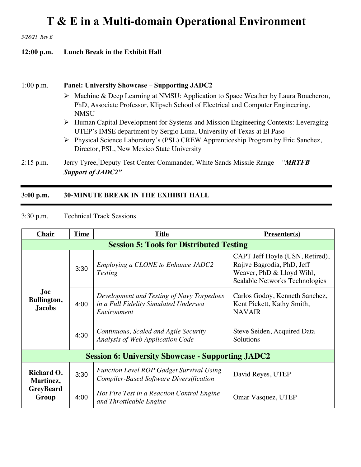*5/28/21 Rev E*

#### **12:00 p.m. Lunch Break in the Exhibit Hall**

#### 1:00 p.m. **Panel: University Showcase – Supporting JADC2**

- Ø Machine & Deep Learning at NMSU: Application to Space Weather by Laura Boucheron, PhD, Associate Professor, Klipsch School of Electrical and Computer Engineering, **NMSU**
- Ø Human Capital Development for Systems and Mission Engineering Contexts: Leveraging UTEP's IMSE department by Sergio Luna, University of Texas at El Paso
- Ø Physical Science Laboratory's (PSL) CREW Apprenticeship Program by Eric Sanchez, Director, PSL, New Mexico State University
- 2:15 p.m. Jerry Tyree, Deputy Test Center Commander, White Sands Missile Range *"MRTFB Support of JADC2"*

#### **3:00 p.m. 30-MINUTE BREAK IN THE EXHIBIT HALL**

3:30 p.m. Technical Track Sessions

| <b>Chair</b>                                             | <b>Time</b> | <b>Title</b>                                                                                                                                                                       | $Presenter(s)$                                                                                                               |  |
|----------------------------------------------------------|-------------|------------------------------------------------------------------------------------------------------------------------------------------------------------------------------------|------------------------------------------------------------------------------------------------------------------------------|--|
| <b>Session 5: Tools for Distributed Testing</b>          |             |                                                                                                                                                                                    |                                                                                                                              |  |
| <b>Joe</b><br>Bullington,<br><b>Jacobs</b>               | 3:30        | Employing a CLONE to Enhance JADC2<br><b>Testing</b>                                                                                                                               | CAPT Jeff Hoyle (USN, Retired),<br>Rajive Bagrodia, PhD, Jeff<br>Weaver, PhD & Lloyd Wihl,<br>Scalable Networks Technologies |  |
|                                                          | 4:00        | Development and Testing of Navy Torpedoes<br>Carlos Godoy, Kenneth Sanchez,<br>in a Full Fidelity Simulated Undersea<br>Kent Pickett, Kathy Smith,<br><b>NAVAIR</b><br>Environment |                                                                                                                              |  |
|                                                          | 4:30        | Continuous, Scaled and Agile Security<br>Analysis of Web Application Code                                                                                                          | Steve Seiden, Acquired Data<br>Solutions                                                                                     |  |
| <b>Session 6: University Showcase - Supporting JADC2</b> |             |                                                                                                                                                                                    |                                                                                                                              |  |
| Richard O.<br>Martinez,<br><b>GreyBeard</b><br>Group     | 3:30        | <b>Function Level ROP Gadget Survival Using</b><br><b>Compiler-Based Software Diversification</b>                                                                                  | David Reyes, UTEP                                                                                                            |  |
|                                                          | 4:00        | Hot Fire Test in a Reaction Control Engine<br>and Throttleable Engine                                                                                                              | Omar Vasquez, UTEP                                                                                                           |  |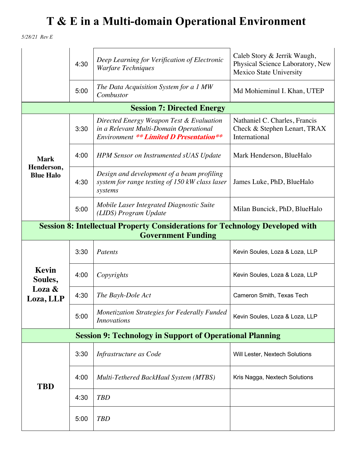*5/28/21 Rev E*

|                                                                                                                   | 4:30 | Deep Learning for Verification of Electronic<br><b>Warfare Techniques</b>                                                            | Caleb Story & Jerrik Waugh,<br>Physical Science Laboratory, New<br>Mexico State University |  |
|-------------------------------------------------------------------------------------------------------------------|------|--------------------------------------------------------------------------------------------------------------------------------------|--------------------------------------------------------------------------------------------|--|
|                                                                                                                   | 5:00 | The Data Acquisition System for a 1 MW<br>Combustor                                                                                  | Md Mohieminul I. Khan, UTEP                                                                |  |
| <b>Session 7: Directed Energy</b>                                                                                 |      |                                                                                                                                      |                                                                                            |  |
| <b>Mark</b><br>Henderson,<br><b>Blue Halo</b>                                                                     | 3:30 | Directed Energy Weapon Test & Evaluation<br>in a Relevant Multi-Domain Operational<br><b>Environment ** Limited D Presentation**</b> | Nathaniel C. Charles, Francis<br>Check & Stephen Lenart, TRAX<br>International             |  |
|                                                                                                                   | 4:00 | <b>HPM</b> Sensor on Instrumented sUAS Update                                                                                        | Mark Henderson, BlueHalo                                                                   |  |
|                                                                                                                   | 4:30 | Design and development of a beam profiling<br>system for range testing of 150 kW class laser<br>systems                              | James Luke, PhD, BlueHalo                                                                  |  |
|                                                                                                                   | 5:00 | Mobile Laser Integrated Diagnostic Suite<br>(LIDS) Program Update                                                                    | Milan Buncick, PhD, BlueHalo                                                               |  |
| <b>Session 8: Intellectual Property Considerations for Technology Developed with</b><br><b>Government Funding</b> |      |                                                                                                                                      |                                                                                            |  |
| Kevin<br>Soules,                                                                                                  | 3:30 | Patents                                                                                                                              | Kevin Soules, Loza & Loza, LLP                                                             |  |
|                                                                                                                   | 4:00 | Copyrights                                                                                                                           | Kevin Soules, Loza & Loza, LLP                                                             |  |
| Loza &<br>Loza, LLP                                                                                               | 4:30 | The Bayh-Dole Act                                                                                                                    | Cameron Smith, Texas Tech                                                                  |  |
|                                                                                                                   | 5:00 | Monetization Strategies for Federally Funded<br><b>Innovations</b>                                                                   | Kevin Soules, Loza & Loza, LLP                                                             |  |
| <b>Session 9: Technology in Support of Operational Planning</b>                                                   |      |                                                                                                                                      |                                                                                            |  |
| <b>TBD</b>                                                                                                        | 3:30 | Infrastructure as Code                                                                                                               | Will Lester, Nextech Solutions                                                             |  |
|                                                                                                                   | 4:00 | Multi-Tethered BackHaul System (MTBS)                                                                                                | Kris Nagga, Nextech Solutions                                                              |  |
|                                                                                                                   | 4:30 | <b>TBD</b>                                                                                                                           |                                                                                            |  |
|                                                                                                                   | 5:00 | <b>TBD</b>                                                                                                                           |                                                                                            |  |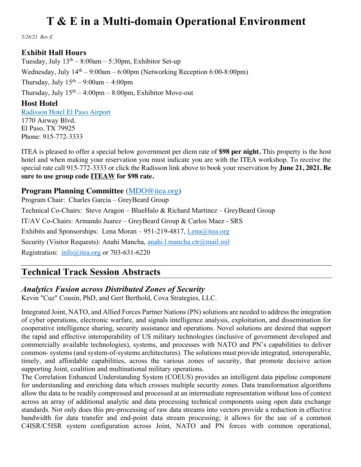*5/28/21 Rev E*

#### **Exhibit Hall Hours**

Tuesday, July  $13<sup>th</sup> - 8:00am - 5:30pm$ , Exhibitor Set-up Wednesday, July  $14<sup>th</sup> - 9:00$ am – 6:00pm (Networking Reception 6:00-8:00pm) Thursday, July  $15<sup>th</sup> - 9:00am - 4:00pm$ Thursday, July  $15<sup>th</sup> - 4:00<sub>pm</sub> - 8:00<sub>pm</sub>$ , Exhibitor Move-out

**Host Hotel** Radisson Hotel El Paso Airport 1770 Airway Blvd. El Paso, TX 79925 Phone: 915-772-3333

ITEA is pleased to offer a special below government per diem rate of **\$98 per night.** This property is the host hotel and when making your reservation you must indicate you are with the ITEA workshop. To receive the special rate call 915-772-3333 or click the Radisson link above to book your reservation by **June 21, 2021. Be sure to use group code ITEAW for \$98 rate.**

#### **Program Planning Committee** (MDO@itea.org)

Program Chair: Charles Garcia – GreyBeard Group Technical Co-Chairs: Steve Aragon – BlueHalo & Richard Martinez – GreyBeard Group IT/AV Co-Chairs: Armando Juarez – GreyBeard Group & Carlos Maez - SRS Exhibits and Sponsorships: Lena Moran – 951-219-4817, Lena@itea.org Security (Visitor Requests): Anahi Mancha, anahi.l.mancha.ctr@mail.mil Registration: info@itea.org or 703-631-6220

### **Technical Track Session Abstracts**

### *Analytics Fusion across Distributed Zones of Security*

Kevin "Cuz" Cousin, PhD, and Gert Berthold, Cova Strategies, LLC.

Integrated Joint, NATO, and Allied Forces Partner Nations (PN) solutions are needed to address the integration of cyber operations, electronic warfare, and signals intelligence analysis, exploitation, and dissemination for cooperative intelligence sharing, security assistance and operations. Novel solutions are desired that support the rapid and effective interoperability of US military technologies (inclusive of government developed and commercially available technologies), systems, and processes with NATO and PN's capabilities to deliver common- systems (and system-of-systems architectures). The solutions must provide integrated, interoperable, timely, and affordable capabilities, across the various zones of security, that promote decisive action supporting Joint, coalition and multinational military operations.

The Correlation Enhanced Understanding System (COEUS) provides an intelligent data pipeline component for understanding and enriching data which crosses multiple security zones. Data transformation algorithms allow the data to be readily compressed and processed at an intermediate representation without loss of context across an array of additional analytic and data processing technical components using open data exchange standards. Not only does this pre-processing of raw data streams into vectors provide a reduction in effective bandwidth for data transfer and end-point data stream processing; it allows for the use of a common C4ISR/C5ISR system configuration across Joint, NATO and PN forces with common operational,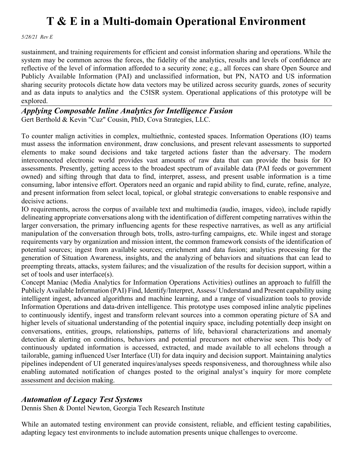*5/28/21 Rev E*

sustainment, and training requirements for efficient and consist information sharing and operations. While the system may be common across the forces, the fidelity of the analytics, results and levels of confidence are reflective of the level of information afforded to a security zone; e.g., all forces can share Open Source and Publicly Available Information (PAI) and unclassified information, but PN, NATO and US information sharing security protocols dictate how data vectors may be utilized across security guards, zones of security and as data inputs to analytics and the C5ISR system. Operational applications of this prototype will be explored.

#### *Applying Composable Inline Analytics for Intelligence Fusion* Gert Berthold & Kevin "Cuz" Cousin, PhD, Cova Strategies, LLC.

To counter malign activities in complex, multiethnic, contested spaces. Information Operations (IO) teams must assess the information environment, draw conclusions, and present relevant assessments to supported elements to make sound decisions and take targeted actions faster than the adversary. The modern interconnected electronic world provides vast amounts of raw data that can provide the basis for IO assessments. Presently, getting access to the broadest spectrum of available data (PAI feeds or government owned) and sifting through that data to find, interpret, assess, and present usable information is a time consuming, labor intensive effort. Operators need an organic and rapid ability to find, curate, refine, analyze, and present information from select local, topical, or global strategic conversations to enable responsive and decisive actions.

IO requirements, across the corpus of available text and multimedia (audio, images, video), include rapidly delineating appropriate conversations along with the identification of different competing narratives within the larger conversation, the primary influencing agents for these respective narratives, as well as any artificial manipulation of the conversation through bots, trolls, astro-turfing campaigns, etc. While ingest and storage requirements vary by organization and mission intent, the common framework consists of the identification of potential sources; ingest from available sources; enrichment and data fusion; analytics processing for the generation of Situation Awareness, insights, and the analyzing of behaviors and situations that can lead to preempting threats, attacks, system failures; and the visualization of the results for decision support, within a set of tools and user interface(s).

Concept Maniac (Media Analytics for Information Operations Activities) outlines an approach to fulfill the Publicly Available Information (PAI) Find, Identify/Interpret, Assess/ Understand and Present capability using intelligent ingest, advanced algorithms and machine learning, and a range of visualization tools to provide Information Operations and data-driven intelligence. This prototype uses composed inline analytic pipelines to continuously identify, ingest and transform relevant sources into a common operating picture of SA and higher levels of situational understanding of the potential inquiry space, including potentially deep insight on conversations, entities, groups, relationships, patterns of life, behavioral characterizations and anomaly detection & alerting on conditions, behaviors and potential precursors not otherwise seen. This body of continuously updated information is accessed, extracted, and made available to all echelons through a tailorable, gaming influenced User Interface (UI) for data inquiry and decision support. Maintaining analytics pipelines independent of UI generated inquires/analyses speeds responsiveness, and thoroughness while also enabling automated notification of changes posted to the original analyst's inquiry for more complete assessment and decision making.

#### *Automation of Legacy Test Systems*

Dennis Shen & Dontel Newton, Georgia Tech Research Institute

While an automated testing environment can provide consistent, reliable, and efficient testing capabilities, adapting legacy test environments to include automation presents unique challenges to overcome.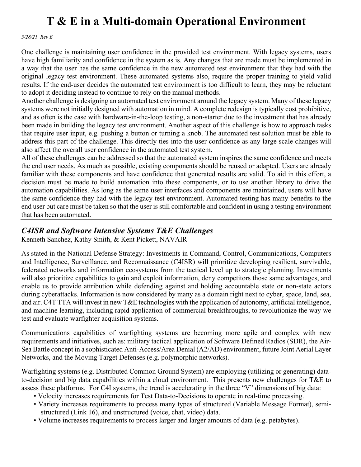*5/28/21 Rev E*

One challenge is maintaining user confidence in the provided test environment. With legacy systems, users have high familiarity and confidence in the system as is. Any changes that are made must be implemented in a way that the user has the same confidence in the new automated test environment that they had with the original legacy test environment. These automated systems also, require the proper training to yield valid results. If the end-user decides the automated test environment is too difficult to learn, they may be reluctant to adopt it deciding instead to continue to rely on the manual methods.

Another challenge is designing an automated test environment around the legacy system. Many of these legacy systems were not initially designed with automation in mind. A complete redesign is typically cost prohibitive, and as often is the case with hardware-in-the-loop testing, a non-starter due to the investment that has already been made in building the legacy test environment. Another aspect of this challenge is how to approach tasks that require user input, e.g. pushing a button or turning a knob. The automated test solution must be able to address this part of the challenge. This directly ties into the user confidence as any large scale changes will also affect the overall user confidence in the automated test system.

All of these challenges can be addressed so that the automated system inspires the same confidence and meets the end user needs. As much as possible, existing components should be reused or adapted. Users are already familiar with these components and have confidence that generated results are valid. To aid in this effort, a decision must be made to build automation into these components, or to use another library to drive the automation capabilities. As long as the same user interfaces and components are maintained, users will have the same confidence they had with the legacy test environment. Automated testing has many benefits to the end user but care must be taken so that the user is still comfortable and confident in using a testing environment that has been automated.

#### *C4ISR and Software Intensive Systems T&E Challenges*

Kenneth Sanchez, Kathy Smith, & Kent Pickett, NAVAIR

As stated in the National Defense Strategy: Investments in Command, Control, Communications, Computers and Intelligence, Surveillance, and Reconnaissance (C4ISR) will prioritize developing resilient, survivable, federated networks and information ecosystems from the tactical level up to strategic planning. Investments will also prioritize capabilities to gain and exploit information, deny competitors those same advantages, and enable us to provide attribution while defending against and holding accountable state or non-state actors during cyberattacks. Information is now considered by many as a domain right next to cyber, space, land, sea, and air. C4T TTA will invest in new T&E technologies with the application of autonomy, artificial intelligence, and machine learning, including rapid application of commercial breakthroughs, to revolutionize the way we test and evaluate warfighter acquisition systems.

Communications capabilities of warfighting systems are becoming more agile and complex with new requirements and initiatives, such as: military tactical application of Software Defined Radios (SDR), the Air-Sea Battle concept in a sophisticated Anti-Access/Area Denial (A2/AD) environment, future Joint Aerial Layer Networks, and the Moving Target Defenses (e.g. polymorphic networks).

Warfighting systems (e.g. Distributed Common Ground System) are employing (utilizing or generating) datato-decision and big data capabilities within a cloud environment. This presents new challenges for T&E to assess these platforms. For C4I systems, the trend is accelerating in the three "V" dimensions of big data:

- Velocity increases requirements for Test Data-to-Decisions to operate in real-time processing.
- Variety increases requirements to process many types of structured (Variable Message Format), semi structured (Link 16), and unstructured (voice, chat, video) data.
- Volume increases requirements to process larger and larger amounts of data (e.g. petabytes).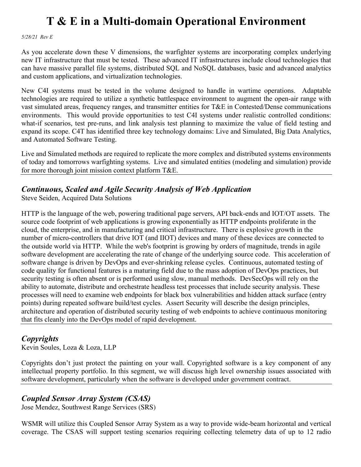*5/28/21 Rev E*

As you accelerate down these V dimensions, the warfighter systems are incorporating complex underlying new IT infrastructure that must be tested. These advanced IT infrastructures include cloud technologies that can have massive parallel file systems, distributed SQL and NoSQL databases, basic and advanced analytics and custom applications, and virtualization technologies.

New C4I systems must be tested in the volume designed to handle in wartime operations. Adaptable technologies are required to utilize a synthetic battlespace environment to augment the open-air range with vast simulated areas, frequency ranges, and transmitter entities for T&E in Contested/Dense communications environments. This would provide opportunities to test C4I systems under realistic controlled conditions: what-if scenarios, test pre-runs, and link analysis test planning to maximize the value of field testing and expand its scope. C4T has identified three key technology domains: Live and Simulated, Big Data Analytics, and Automated Software Testing.

Live and Simulated methods are required to replicate the more complex and distributed systems environments of today and tomorrows warfighting systems. Live and simulated entities (modeling and simulation) provide for more thorough joint mission context platform T&E.

### *Continuous, Scaled and Agile Security Analysis of Web Application*

Steve Seiden, Acquired Data Solutions

HTTP is the language of the web, powering traditional page servers, API back-ends and IOT/OT assets. The source code footprint of web applications is growing exponentially as HTTP endpoints proliferate in the cloud, the enterprise, and in manufacturing and critical infrastructure. There is explosive growth in the number of micro-controllers that drive IOT (and IIOT) devices and many of these devices are connected to the outside world via HTTP. While the web's footprint is growing by orders of magnitude, trends in agile software development are accelerating the rate of change of the underlying source code. This acceleration of software change is driven by DevOps and ever-shrinking release cycles. Continuous, automated testing of code quality for functional features is a maturing field due to the mass adoption of DevOps practices, but security testing is often absent or is performed using slow, manual methods. DevSecOps will rely on the ability to automate, distribute and orchestrate headless test processes that include security analysis. These processes will need to examine web endpoints for black box vulnerabilities and hidden attack surface (entry points) during repeated software build/test cycles. Assert Security will describe the design principles, architecture and operation of distributed security testing of web endpoints to achieve continuous monitoring that fits cleanly into the DevOps model of rapid development.

### *Copyrights*

Kevin Soules, Loza & Loza, LLP

Copyrights don't just protect the painting on your wall. Copyrighted software is a key component of any intellectual property portfolio. In this segment, we will discuss high level ownership issues associated with software development, particularly when the software is developed under government contract.

### *Coupled Sensor Array System (CSAS)*

Jose Mendez, Southwest Range Services (SRS)

WSMR will utilize this Coupled Sensor Array System as a way to provide wide-beam horizontal and vertical coverage. The CSAS will support testing scenarios requiring collecting telemetry data of up to 12 radio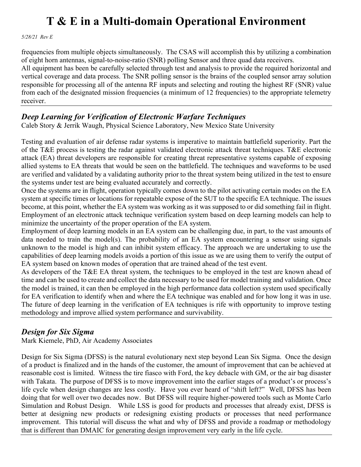*5/28/21 Rev E*

frequencies from multiple objects simultaneously. The CSAS will accomplish this by utilizing a combination of eight horn antennas, signal-to-noise-ratio (SNR) polling Sensor and three quad data receivers.

All equipment has been be carefully selected through test and analysis to provide the required horizontal and vertical coverage and data process. The SNR polling sensor is the brains of the coupled sensor array solution responsible for processing all of the antenna RF inputs and selecting and routing the highest RF (SNR) value from each of the designated mission frequencies (a minimum of 12 frequencies) to the appropriate telemetry receiver.

#### *Deep Learning for Verification of Electronic Warfare Techniques*

Caleb Story & Jerrik Waugh, Physical Science Laboratory, New Mexico State University

Testing and evaluation of air defense radar systems is imperative to maintain battlefield superiority. Part the of the T&E process is testing the radar against validated electronic attack threat techniques. T&E electronic attack (EA) threat developers are responsible for creating threat representative systems capable of exposing allied systems to EA threats that would be seen on the battlefield. The techniques and waveforms to be used are verified and validated by a validating authority prior to the threat system being utilized in the test to ensure the systems under test are being evaluated accurately and correctly.

Once the systems are in flight, operation typically comes down to the pilot activating certain modes on the EA system at specific times or locations for repeatable expose of the SUT to the specific EA technique. The issues become, at this point, whether the EA system was working as it was supposed to or did something fail in flight. Employment of an electronic attack technique verification system based on deep learning models can help to minimize the uncertainty of the proper operation of the EA system.

Employment of deep learning models in an EA system can be challenging due, in part, to the vast amounts of data needed to train the model(s). The probability of an EA system encountering a sensor using signals unknown to the model is high and can inhibit system efficacy. The approach we are undertaking to use the capabilities of deep learning models avoids a portion of this issue as we are using them to verify the output of EA system based on known modes of operation that are trained ahead of the test event.

As developers of the T&E EA threat system, the techniques to be employed in the test are known ahead of time and can be used to create and collect the data necessary to be used for model training and validation. Once the model is trained, it can then be employed in the high performance data collection system used specifically for EA verification to identify when and where the EA technique was enabled and for how long it was in use. The future of deep learning in the verification of EA techniques is rife with opportunity to improve testing methodology and improve allied system performance and survivability.

### *Design for Six Sigma*

Mark Kiemele, PhD, Air Academy Associates

Design for Six Sigma (DFSS) is the natural evolutionary next step beyond Lean Six Sigma. Once the design of a product is finalized and in the hands of the customer, the amount of improvement that can be achieved at reasonable cost is limited. Witness the tire fiasco with Ford, the key debacle with GM, or the air bag disaster with Takata. The purpose of DFSS is to move improvement into the earlier stages of a product's or process's life cycle when design changes are less costly. Have you ever heard of "shift left?" Well, DFSS has been doing that for well over two decades now. But DFSS will require higher-powered tools such as Monte Carlo Simulation and Robust Design. While LSS is good for products and processes that already exist, DFSS is better at designing new products or redesigning existing products or processes that need performance improvement. This tutorial will discuss the what and why of DFSS and provide a roadmap or methodology that is different than DMAIC for generating design improvement very early in the life cycle.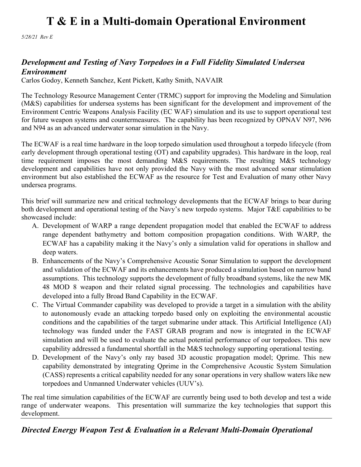*5/28/21 Rev E*

#### *Development and Testing of Navy Torpedoes in a Full Fidelity Simulated Undersea Environment*

Carlos Godoy, Kenneth Sanchez, Kent Pickett, Kathy Smith, NAVAIR

The Technology Resource Management Center (TRMC) support for improving the Modeling and Simulation (M&S) capabilities for undersea systems has been significant for the development and improvement of the Environment Centric Weapons Analysis Facility (EC WAF) simulation and its use to support operational test for future weapon systems and countermeasures. The capability has been recognized by OPNAV N97, N96 and N94 as an advanced underwater sonar simulation in the Navy.

The ECWAF is a real time hardware in the loop torpedo simulation used throughout a torpedo lifecycle (from early development through operational testing (OT) and capability upgrades). This hardware in the loop, real time requirement imposes the most demanding M&S requirements. The resulting M&S technology development and capabilities have not only provided the Navy with the most advanced sonar stimulation environment but also established the ECWAF as the resource for Test and Evaluation of many other Navy undersea programs.

This brief will summarize new and critical technology developments that the ECWAF brings to bear during both development and operational testing of the Navy's new torpedo systems. Major T&E capabilities to be showcased include:

- A. Development of WARP a range dependent propagation model that enabled the ECWAF to address range dependent bathymetry and bottom composition propagation conditions. With WARP, the ECWAF has a capability making it the Navy's only a simulation valid for operations in shallow and deep waters.
- B. Enhancements of the Navy's Comprehensive Acoustic Sonar Simulation to support the development and validation of the ECWAF and its enhancements have produced a simulation based on narrow band assumptions. This technology supports the development of fully broadband systems, like the new MK 48 MOD 8 weapon and their related signal processing. The technologies and capabilities have developed into a fully Broad Band Capability in the ECWAF.
- C. The Virtual Commander capability was developed to provide a target in a simulation with the ability to autonomously evade an attacking torpedo based only on exploiting the environmental acoustic conditions and the capabilities of the target submarine under attack. This Artificial Intelligence (AI) technology was funded under the FAST GRAB program and now is integrated in the ECWAF simulation and will be used to evaluate the actual potential performance of our torpedoes. This new capability addressed a fundamental shortfall in the M&S technology supporting operational testing.
- D. Development of the Navy's only ray based 3D acoustic propagation model; Qprime. This new capability demonstrated by integrating Qprime in the Comprehensive Acoustic System Simulation (CASS) represents a critical capability needed for any sonar operations in very shallow waters like new torpedoes and Unmanned Underwater vehicles (UUV's).

The real time simulation capabilities of the ECWAF are currently being used to both develop and test a wide range of underwater weapons. This presentation will summarize the key technologies that support this development.

*Directed Energy Weapon Test & Evaluation in a Relevant Multi-Domain Operational*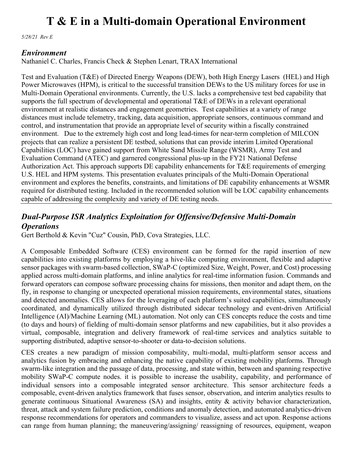*5/28/21 Rev E*

#### *Environment*

Nathaniel C. Charles, Francis Check & Stephen Lenart, TRAX International

Test and Evaluation (T&E) of Directed Energy Weapons (DEW), both High Energy Lasers (HEL) and High Power Microwaves (HPM), is critical to the successful transition DEWs to the US military forces for use in Multi-Domain Operational environments. Currently, the U.S. lacks a comprehensive test bed capability that supports the full spectrum of developmental and operational T&E of DEWs in a relevant operational environment at realistic distances and engagement geometries. Test capabilities at a variety of range distances must include telemetry, tracking, data acquisition, appropriate sensors, continuous command and control, and instrumentation that provide an appropriate level of security within a fiscally constrained environment. Due to the extremely high cost and long lead-times for near-term completion of MILCON projects that can realize a persistent DE testbed, solutions that can provide interim Limited Operational Capabilities (LOC) have gained support from White Sand Missile Range (WSMR), Army Test and Evaluation Command (ATEC) and garnered congressional plus-up in the FY21 National Defense Authorization Act. This approach supports DE capability enhancements for T&E requirements of emerging U.S. HEL and HPM systems. This presentation evaluates principals of the Multi-Domain Operational environment and explores the benefits, constraints, and limitations of DE capability enhancements at WSMR required for distributed testing. Included in the recommended solution will be LOC capability enhancements capable of addressing the complexity and variety of DE testing needs.

### *Dual-Purpose ISR Analytics Exploitation for Offensive/Defensive Multi-Domain Operations*

Gert Berthold & Kevin "Cuz" Cousin, PhD, Cova Strategies, LLC.

A Composable Embedded Software (CES) environment can be formed for the rapid insertion of new capabilities into existing platforms by employing a hive-like computing environment, flexible and adaptive sensor packages with swarm-based collection, SWaP-C (optimized Size, Weight, Power, and Cost) processing applied across multi-domain platforms, and inline analytics for real-time information fusion. Commands and forward operators can compose software processing chains for missions, then monitor and adapt them, on the fly, in response to changing or unexpected operational mission requirements, environmental states, situations and detected anomalies. CES allows for the leveraging of each platform's suited capabilities, simultaneously coordinated, and dynamically utilized through distributed sidecar technology and event-driven Artificial Intelligence (AI)/Machine Learning (ML) automation. Not only can CES concepts reduce the costs and time (to days and hours) of fielding of multi-domain sensor platforms and new capabilities, but it also provides a virtual, composable, integration and delivery framework of real-time services and analytics suitable to supporting distributed, adaptive sensor-to-shooter or data-to-decision solutions.

CES creates a new paradigm of mission composability, multi-modal, multi-platform sensor access and analytics fusion by embracing and enhancing the native capability of existing mobility platforms. Through swarm-like integration and the passage of data, processing, and state within, between and spanning respective mobility SWaP-C compute nodes. it is possible to increase the usability, capability, and performance of individual sensors into a composable integrated sensor architecture. This sensor architecture feeds a composable, event-driven analytics framework that fuses sensor, observation, and interim analytics results to generate continuous Situational Awareness (SA) and insights, entity & activity behavior characterization, threat, attack and system failure prediction, conditions and anomaly detection, and automated analytics-driven response recommendations for operators and commanders to visualize, assess and act upon. Response actions can range from human planning; the maneuvering/assigning/ reassigning of resources, equipment, weapon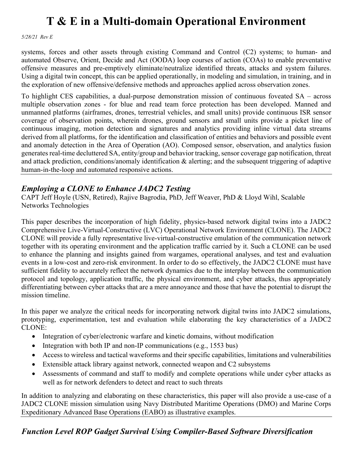*5/28/21 Rev E*

systems, forces and other assets through existing Command and Control (C2) systems; to human- and automated Observe, Orient, Decide and Act (OODA) loop courses of action (COAs) to enable preventative offensive measures and pre-emptively eliminate/neutralize identified threats, attacks and system failures. Using a digital twin concept, this can be applied operationally, in modeling and simulation, in training, and in the exploration of new offensive/defensive methods and approaches applied across observation zones.

To highlight CES capabilities, a dual-purpose demonstration mission of continuous foveated SA – across multiple observation zones - for blue and read team force protection has been developed. Manned and unmanned platforms (airframes, drones, terrestrial vehicles, and small units) provide continuous ISR sensor coverage of observation points, wherein drones, ground sensors and small units provide a picket line of continuous imaging, motion detection and signatures and analytics providing inline virtual data streams derived from all platforms, for the identification and classification of entities and behaviors and possible event and anomaly detection in the Area of Operation (AO). Composed sensor, observation, and analytics fusion generates real-time decluttered SA, entity/group and behavior tracking, sensor coverage gap notification, threat and attack prediction, conditions/anomaly identification & alerting; and the subsequent triggering of adaptive human-in-the-loop and automated responsive actions.

### *Employing a CLONE to Enhance JADC2 Testing*

CAPT Jeff Hoyle (USN, Retired), Rajive Bagrodia, PhD, Jeff Weaver, PhD & Lloyd Wihl, Scalable Networks Technologies

This paper describes the incorporation of high fidelity, physics-based network digital twins into a JADC2 Comprehensive Live-Virtual-Constructive (LVC) Operational Network Environment (CLONE). The JADC2 CLONE will provide a fully representative live-virtual-constructive emulation of the communication network together with its operating environment and the application traffic carried by it. Such a CLONE can be used to enhance the planning and insights gained from wargames, operational analyses, and test and evaluation events in a low-cost and zero-risk environment. In order to do so effectively, the JADC2 CLONE must have sufficient fidelity to accurately reflect the network dynamics due to the interplay between the communication protocol and topology, application traffic, the physical environment, and cyber attacks, thus appropriately differentiating between cyber attacks that are a mere annoyance and those that have the potential to disrupt the mission timeline.

In this paper we analyze the critical needs for incorporating network digital twins into JADC2 simulations, prototyping, experimentation, test and evaluation while elaborating the key characteristics of a JADC2 CLONE:

- Integration of cyber/electronic warfare and kinetic domains, without modification
- Integration with both IP and non-IP communications (e.g., 1553 bus)
- Access to wireless and tactical waveforms and their specific capabilities, limitations and vulnerabilities
- Extensible attack library against network, connected weapon and C2 subsystems
- Assessments of command and staff to modify and complete operations while under cyber attacks as well as for network defenders to detect and react to such threats

In addition to analyzing and elaborating on these characteristics, this paper will also provide a use-case of a JADC2 CLONE mission simulation using Navy Distributed Maritime Operations (DMO) and Marine Corps Expeditionary Advanced Base Operations (EABO) as illustrative examples.

### *Function Level ROP Gadget Survival Using Compiler-Based Software Diversification*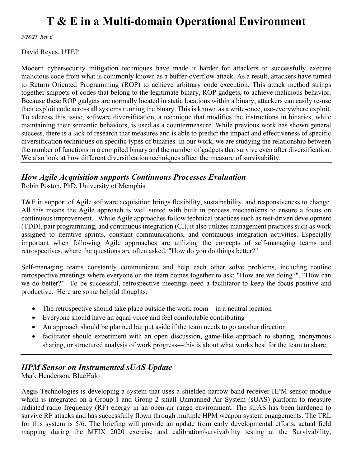*5/28/21 Rev E*

David Reyes, UTEP

Modern cybersecurity mitigation techniques have made it harder for attackers to successfully execute malicious code from what is commonly known as a buffer-overflow attack. As a result, attackers have turned to Return Oriented Programming (ROP) to achieve arbitrary code execution. This attack method strings together snippets of codes that belong to the legitimate binary, ROP gadgets, to achieve malicious behavior. Because these ROP gadgets are normally located in static locations within a binary, attackers can easily re-use their exploit code across all systems running the binary. This is known as a write-once, use-everywhere exploit. To address this issue, software diversification, a technique that modifies the instructions in binaries, while maintaining their semantic behaviors, is used as a countermeasure. While previous work has shown general success, there is a lack of research that measures and is able to predict the impact and effectiveness of specific diversification techniques on specific types of binaries. In our work, we are studying the relationship between the number of functions in a compiled binary and the number of gadgets that survive even after diversification. We also look at how different diversification techniques affect the measure of survivability.

#### *How Agile Acquisition supports Continuous Processes Evaluation*

Robin Poston, PhD, University of Memphis

T&E in support of Agile software acquisition brings flexibility, sustainability, and responsiveness to change. All this means the Agile approach is well suited with built in process mechanisms to ensure a focus on continuous improvement. While Agile approaches follow technical practices such as test-driven development (TDD), pair programming, and continuous integration (CI), it also utilizes management practices such as work assigned to iterative sprints, constant communications, and continuous integration activities. Especially important when following Agile approaches are utilizing the concepts of self-managing teams and retrospectives, where the questions are often asked, "How do you do things better?"

Self-managing teams constantly communicate and help each other solve problems, including routine retrospective meetings where everyone on the team comes together to ask: "How are we doing?", "How can we do better?" To be successful, retrospective meetings need a facilitator to keep the focus positive and productive. Here are some helpful thoughts:

- The retrospective should take place outside the work room—in a neutral location
- Everyone should have an equal voice and feel comfortable contributing
- An approach should be planned but put aside if the team needs to go another direction
- facilitator should experiment with an open discussion, game-like approach to sharing, anonymous sharing, or structured analysis of work progress—this is about what works best for the team to share.

### *HPM Sensor on Instrumented sUAS Update*

Mark Henderson, BlueHalo

Aegis Technologies is developing a system that uses a shielded narrow-band receiver HPM sensor module which is integrated on a Group 1 and Group 2 small Unmanned Air System (sUAS) platform to measure radiated radio frequency (RF) energy in an open-air range environment. The sUAS has been hardened to survive RF attacks and has successfully flown through multiple HPM weapon system engagements. The TRL for this system is 5/6. The briefing will provide an update from early developmental efforts, actual field mapping during the MFIX 2020 exercise and calibration/survivability testing at the Survivability,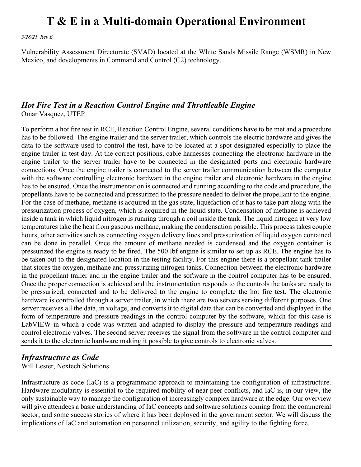*5/28/21 Rev E*

Vulnerability Assessment Directorate (SVAD) located at the White Sands Missile Range (WSMR) in New Mexico, and developments in Command and Control (C2) technology.

### *Hot Fire Test in a Reaction Control Engine and Throttleable Engine*

Omar Vasquez, UTEP

To perform a hot fire test in RCE, Reaction Control Engine, several conditions have to be met and a procedure has to be followed. The engine trailer and the server trailer, which controls the electric hardware and gives the data to the software used to control the test, have to be located at a spot designated especially to place the engine trailer in test day. At the correct positions, cable harnesses connecting the electronic hardware in the engine trailer to the server trailer have to be connected in the designated ports and electronic hardware connections. Once the engine trailer is connected to the server trailer communication between the computer with the software controlling electronic hardware in the engine trailer and electronic hardware in the engine has to be ensured. Once the instrumentation is connected and running according to the code and procedure, the propellants have to be connected and pressurized to the pressure needed to deliver the propellant to the engine. For the case of methane, methane is acquired in the gas state, liquefaction of it has to take part along with the pressurization process of oxygen, which is acquired in the liquid state. Condensation of methane is achieved inside a tank in which liquid nitrogen is running through a coil inside the tank. The liquid nitrogen at very low temperatures take the heat from gaseous methane, making the condensation possible. This process takes couple hours, other activities such as connecting oxygen delivery lines and pressurization of liquid oxygen contained can be done in parallel. Once the amount of methane needed is condensed and the oxygen container is pressurized the engine is ready to be fired. The 500 lbf engine is similar to set up as RCE. The engine has to be taken out to the designated location in the testing facility. For this engine there is a propellant tank trailer that stores the oxygen, methane and pressurizing nitrogen tanks. Connection between the electronic hardware in the propellant trailer and in the engine trailer and the software in the control computer has to be ensured. Once the proper connection is achieved and the instrumentation responds to the controls the tanks are ready to be pressurized, connected and to be delivered to the engine to complete the hot fire test. The electronic hardware is controlled through a server trailer, in which there are two servers serving different purposes. One server receives all the data, in voltage, and converts it to digital data that can be converted and displayed in the form of temperature and pressure readings in the control computer by the software, which for this case is LabVIEW in which a code was written and adapted to display the pressure and temperature readings and control electronic valves. The second server receives the signal from the software in the control computer and sends it to the electronic hardware making it possible to give controls to electronic valves.

### *Infrastructure as Code*

Will Lester, Nextech Solutions

Infrastructure as code (IaC) is a programmatic approach to maintaining the configuration of infrastructure. Hardware modularity is essential to the required mobility of near peer conflicts, and IaC is, in our view, the only sustainable way to manage the configuration of increasingly complex hardware at the edge. Our overview will give attendees a basic understanding of IaC concepts and software solutions coming from the commercial sector, and some success stories of where it has been deployed in the government sector. We will discuss the implications of IaC and automation on personnel utilization, security, and agility to the fighting force.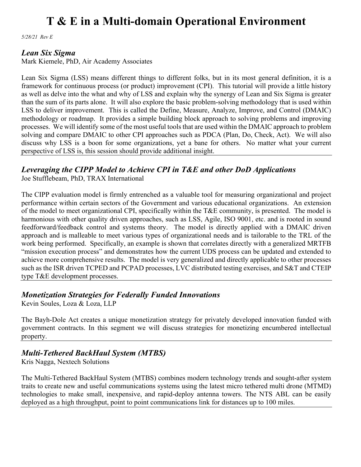*5/28/21 Rev E*

#### *Lean Six Sigma*

Mark Kiemele, PhD, Air Academy Associates

Lean Six Sigma (LSS) means different things to different folks, but in its most general definition, it is a framework for continuous process (or product) improvement (CPI). This tutorial will provide a little history as well as delve into the what and why of LSS and explain why the synergy of Lean and Six Sigma is greater than the sum of its parts alone. It will also explore the basic problem-solving methodology that is used within LSS to deliver improvement. This is called the Define, Measure, Analyze, Improve, and Control (DMAIC) methodology or roadmap. It provides a simple building block approach to solving problems and improving processes. We will identify some of the most useful tools that are used within the DMAIC approach to problem solving and compare DMAIC to other CPI approaches such as PDCA (Plan, Do, Check, Act). We will also discuss why LSS is a boon for some organizations, yet a bane for others. No matter what your current perspective of LSS is, this session should provide additional insight.

### *Leveraging the CIPP Model to Achieve CPI in T&E and other DoD Applications*

Joe Stufflebeam, PhD, TRAX International

The CIPP evaluation model is firmly entrenched as a valuable tool for measuring organizational and project performance within certain sectors of the Government and various educational organizations. An extension of the model to meet organizational CPI, specifically within the T&E community, is presented. The model is harmonious with other quality driven approaches, such as LSS, Agile, ISO 9001, etc. and is rooted in sound feedforward/feedback control and systems theory. The model is directly applied with a DMAIC driven approach and is malleable to meet various types of organizational needs and is tailorable to the TRL of the work being performed. Specifically, an example is shown that correlates directly with a generalized MRTFB "mission execution process" and demonstrates how the current UDS process can be updated and extended to achieve more comprehensive results. The model is very generalized and directly applicable to other processes such as the ISR driven TCPED and PCPAD processes, LVC distributed testing exercises, and S&T and CTEIP type T&E development processes.

### *Monetization Strategies for Federally Funded Innovations*

Kevin Soules, Loza & Loza, LLP

The Bayh-Dole Act creates a unique monetization strategy for privately developed innovation funded with government contracts. In this segment we will discuss strategies for monetizing encumbered intellectual property.

### *Multi-Tethered BackHaul System (MTBS)*

Kris Nagga, Nextech Solutions

The Multi-Tethered BackHaul System (MTBS) combines modern technology trends and sought-after system traits to create new and useful communications systems using the latest micro tethered multi drone (MTMD) technologies to make small, inexpensive, and rapid-deploy antenna towers. The NTS ABL can be easily deployed as a high throughput, point to point communications link for distances up to 100 miles.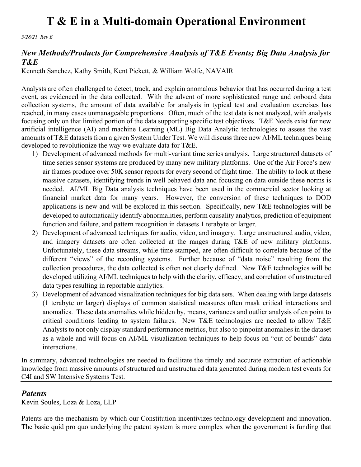*5/28/21 Rev E*

#### *New Methods/Products for Comprehensive Analysis of T&E Events; Big Data Analysis for T&E*

Kenneth Sanchez, Kathy Smith, Kent Pickett, & William Wolfe, NAVAIR

Analysts are often challenged to detect, track, and explain anomalous behavior that has occurred during a test event, as evidenced in the data collected. With the advent of more sophisticated range and onboard data collection systems, the amount of data available for analysis in typical test and evaluation exercises has reached, in many cases unmanageable proportions. Often, much of the test data is not analyzed, with analysts focusing only on that limited portion of the data supporting specific test objectives. T&E Needs exist for new artificial intelligence (AI) and machine Learning (ML) Big Data Analytic technologies to assess the vast amounts of T&E datasets from a given System Under Test. We will discuss three new AI/ML techniques being developed to revolutionize the way we evaluate data for T&E.

- 1) Development of advanced methods for multi-variant time series analysis. Large structured datasets of time series sensor systems are produced by many new military platforms. One of the Air Force's new air frames produce over 50K sensor reports for every second of flight time. The ability to look at these massive datasets, identifying trends in well behaved data and focusing on data outside these norms is needed. AI/ML Big Data analysis techniques have been used in the commercial sector looking at financial market data for many years. However, the conversion of these techniques to DOD applications is new and will be explored in this section. Specifically, new T&E technologies will be developed to automatically identify abnormalities, perform causality analytics, prediction of equipment function and failure, and pattern recognition in datasets 1 terabyte or larger.
- 2) Development of advanced techniques for audio, video, and imagery. Large unstructured audio, video, and imagery datasets are often collected at the ranges during T&E of new military platforms. Unfortunately, these data streams, while time stamped, are often difficult to correlate because of the different "views" of the recording systems. Further because of "data noise" resulting from the collection procedures, the data collected is often not clearly defined. New T&E technologies will be developed utilizing AI/ML techniques to help with the clarity, efficacy, and correlation of unstructured data types resulting in reportable analytics.
- 3) Development of advanced visualization techniques for big data sets. When dealing with large datasets (1 terabyte or larger) displays of common statistical measures often mask critical interactions and anomalies. These data anomalies while hidden by, means, variances and outlier analysis often point to critical conditions leading to system failures. New T&E technologies are needed to allow T&E Analysts to not only display standard performance metrics, but also to pinpoint anomalies in the dataset as a whole and will focus on AI/ML visualization techniques to help focus on "out of bounds" data interactions.

In summary, advanced technologies are needed to facilitate the timely and accurate extraction of actionable knowledge from massive amounts of structured and unstructured data generated during modern test events for C4I and SW Intensive Systems Test.

#### *Patents*

Kevin Soules, Loza & Loza, LLP

Patents are the mechanism by which our Constitution incentivizes technology development and innovation. The basic quid pro quo underlying the patent system is more complex when the government is funding that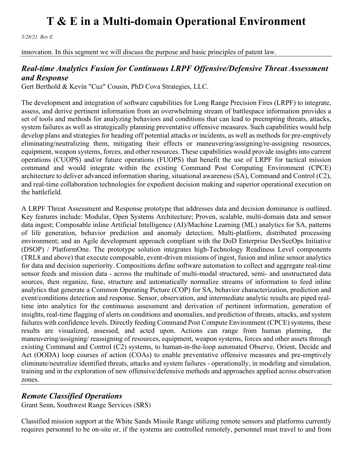*5/28/21 Rev E*

innovation. In this segment we will discuss the purpose and basic principles of patent law.

#### *Real-time Analytics Fusion for Continuous LRPF Offensive/Defensive Threat Assessment and Response*

Gert Berthold & Kevin "Cuz" Cousin, PhD Cova Strategies, LLC.

The development and integration of software capabilities for Long Range Precision Fires (LRPF) to integrate, assess, and derive pertinent information from an overwhelming stream of battlespace information provides a set of tools and methods for analyzing behaviors and conditions that can lead to preempting threats, attacks, system failures as well as strategically planning preventative offensive measures. Such capabilities would help develop plans and strategies for heading off potential attacks or incidents, as well as methods for pre-emptively eliminating/neutralizing them, mitigating their effects or maneuvering/assigning/re-assigning resources, equipment, weapon systems, forces, and other resources. These capabilities would provide insights into current operations (CUOPS) and/or future operations (FUOPS) that benefit the use of LRPF for tactical mission command and would integrate within the existing Command Post Computing Environment (CPCE) architecture to deliver advanced information sharing, situational awareness (SA), Command and Control (C2), and real-time collaboration technologies for expedient decision making and superior operational execution on the battlefield.

A LRPF Threat Assessment and Response prototype that addresses data and decision dominance is outlined. Key features include: Modular, Open Systems Architecture; Proven, scalable, multi-domain data and sensor data ingest; Composable inline Artificial Intelligence (AI)/Machine Learning (ML) analytics for SA, patterns of life generation, behavior prediction and anomaly detection; Multi-platform, distributed processing environment; and an Agile development approach compliant with the DoD Enterprise DevSecOps Initiative (DSOP) / PlatformOne. The prototype solution integrates high-Technology Readiness Level components (TRL8 and above) that execute composable, event-driven missions of ingest, fusion and inline sensor analytics for data and decision superiority. Compositions define software automation to collect and aggregate real-time sensor feeds and mission data - across the multitude of multi-modal structured, semi- and unstructured data sources, then organize, fuse, structure and automatically normalize streams of information to feed inline analytics that generate a Common Operating Picture (COP) for SA, behavior characterization, prediction and event/conditions detection and response. Sensor, observation, and intermediate analytic results are piped realtime into analytics for the continuous assessment and derivation of pertinent information, generation of insights, real-time flagging of alerts on conditions and anomalies, and prediction of threats, attacks, and system failures with confidence levels. Directly feeding Command Post Compute Environment (CPCE) systems, these results are visualized, assessed, and acted upon. Actions can range from human planning, the maneuvering/assigning/ reassigning of resources, equipment, weapon systems, forces and other assets through existing Command and Control (C2) systems, to human-in-the-loop automated Observe, Orient, Decide and Act (OODA) loop courses of action (COAs) to enable preventative offensive measures and pre-emptively eliminate/neutralize identified threats, attacks and system failures - operationally, in modeling and simulation, training and in the exploration of new offensive/defensive methods and approaches applied across observation zones.

#### *Remote Classified Operations*

Grant Senn, Southwest Range Services (SRS)

Classified mission support at the White Sands Missile Range utilizing remote sensors and platforms currently requires personnel to be on-site or, if the systems are controlled remotely, personnel must travel to and from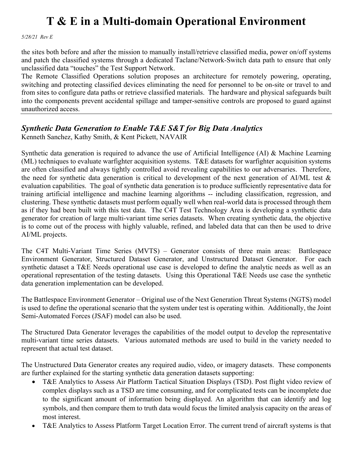*5/28/21 Rev E*

the sites both before and after the mission to manually install/retrieve classified media, power on/off systems and patch the classified systems through a dedicated Taclane/Network-Switch data path to ensure that only unclassified data "touches" the Test Support Network.

The Remote Classified Operations solution proposes an architecture for remotely powering, operating, switching and protecting classified devices eliminating the need for personnel to be on-site or travel to and from sites to configure data paths or retrieve classified materials. The hardware and physical safeguards built into the components prevent accidental spillage and tamper-sensitive controls are proposed to guard against unauthorized access.

### *Synthetic Data Generation to Enable T&E S&T for Big Data Analytics*

Kenneth Sanchez, Kathy Smith, & Kent Pickett, NAVAIR

Synthetic data generation is required to advance the use of Artificial Intelligence (AI) & Machine Learning (ML) techniques to evaluate warfighter acquisition systems. T&E datasets for warfighter acquisition systems are often classified and always tightly controlled avoid revealing capabilities to our adversaries. Therefore, the need for synthetic data generation is critical to development of the next generation of AI/ML test & evaluation capabilities. The goal of synthetic data generation is to produce sufficiently representative data for training artificial intelligence and machine learning algorithms -- including classification, regression, and clustering. These synthetic datasets must perform equally well when real-world data is processed through them as if they had been built with this test data. The C4T Test Technology Area is developing a synthetic data generator for creation of large multi-variant time series datasets. When creating synthetic data, the objective is to come out of the process with highly valuable, refined, and labeled data that can then be used to drive AI/ML projects.

The C4T Multi-Variant Time Series (MVTS) – Generator consists of three main areas: Battlespace Environment Generator, Structured Dataset Generator, and Unstructured Dataset Generator. For each synthetic dataset a T&E Needs operational use case is developed to define the analytic needs as well as an operational representation of the testing datasets. Using this Operational T&E Needs use case the synthetic data generation implementation can be developed.

The Battlespace Environment Generator – Original use of the Next Generation Threat Systems (NGTS) model is used to define the operational scenario that the system under test is operating within. Additionally, the Joint Semi-Automated Forces (JSAF) model can also be used.

The Structured Data Generator leverages the capabilities of the model output to develop the representative multi-variant time series datasets. Various automated methods are used to build in the variety needed to represent that actual test dataset.

The Unstructured Data Generator creates any required audio, video, or imagery datasets. These components are further explained for the starting synthetic data generation datasets supporting:

- T&E Analytics to Assess Air Platform Tactical Situation Displays (TSD). Post flight video review of complex displays such as a TSD are time consuming, and for complicated tests can be incomplete due to the significant amount of information being displayed. An algorithm that can identify and log symbols, and then compare them to truth data would focus the limited analysis capacity on the areas of most interest.
- T&E Analytics to Assess Platform Target Location Error. The current trend of aircraft systems is that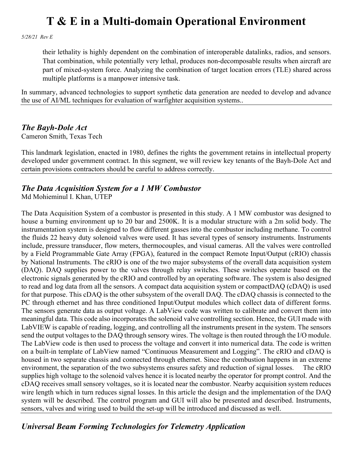*5/28/21 Rev E*

their lethality is highly dependent on the combination of interoperable datalinks, radios, and sensors. That combination, while potentially very lethal, produces non-decomposable results when aircraft are part of mixed-system force. Analyzing the combination of target location errors (TLE) shared across multiple platforms is a manpower intensive task.

In summary, advanced technologies to support synthetic data generation are needed to develop and advance the use of AI/ML techniques for evaluation of warfighter acquisition systems..

#### *The Bayh-Dole Act*

Cameron Smith, Texas Tech

This landmark legislation, enacted in 1980, defines the rights the government retains in intellectual property developed under government contract. In this segment, we will review key tenants of the Bayh-Dole Act and certain provisions contractors should be careful to address correctly.

#### *The Data Acquisition System for a 1 MW Combustor*

Md Mohieminul I. Khan, UTEP

The Data Acquisition System of a combustor is presented in this study. A 1 MW combustor was designed to house a burning environment up to 20 bar and 2500K. It is a modular structure with a 2m solid body. The instrumentation system is designed to flow different gasses into the combustor including methane. To control the fluids 22 heavy duty solenoid valves were used. It has several types of sensory instruments. Instruments include, pressure transducer, flow meters, thermocouples, and visual cameras. All the valves were controlled by a Field Programmable Gate Array (FPGA), featured in the compact Remote Input/Output (cRIO) chassis by National Instruments. The cRIO is one of the two major subsystems of the overall data acquisition system (DAQ). DAQ supplies power to the valves through relay switches. These switches operate based on the electronic signals generated by the cRIO and controlled by an operating software. The system is also designed to read and log data from all the sensors. A compact data acquisition system or compactDAQ (cDAQ) is used for that purpose. This cDAQ is the other subsystem of the overall DAQ. The cDAQ chassis is connected to the PC through ethernet and has three conditioned Input/Output modules which collect data of different forms. The sensors generate data as output voltage. A LabView code was written to calibrate and convert them into meaningful data. This code also incorporates the solenoid valve controlling section. Hence, the GUI made with LabVIEW is capable of reading, logging, and controlling all the instruments present in the system. The sensors send the output voltages to the DAQ through sensory wires. The voltage is then routed through the I/O module. The LabView code is then used to process the voltage and convert it into numerical data. The code is written on a built-in template of LabView named "Continuous Measurement and Logging". The cRIO and cDAQ is housed in two separate chassis and connected through ethernet. Since the combustion happens in an extreme environment, the separation of the two subsystems ensures safety and reduction of signal losses. The cRIO supplies high voltage to the solenoid valves hence it is located nearby the operator for prompt control. And the cDAQ receives small sensory voltages, so it is located near the combustor. Nearby acquisition system reduces wire length which in turn reduces signal losses. In this article the design and the implementation of the DAQ system will be described. The control program and GUI will also be presented and described. Instruments, sensors, valves and wiring used to build the set-up will be introduced and discussed as well.

### *Universal Beam Forming Technologies for Telemetry Application*